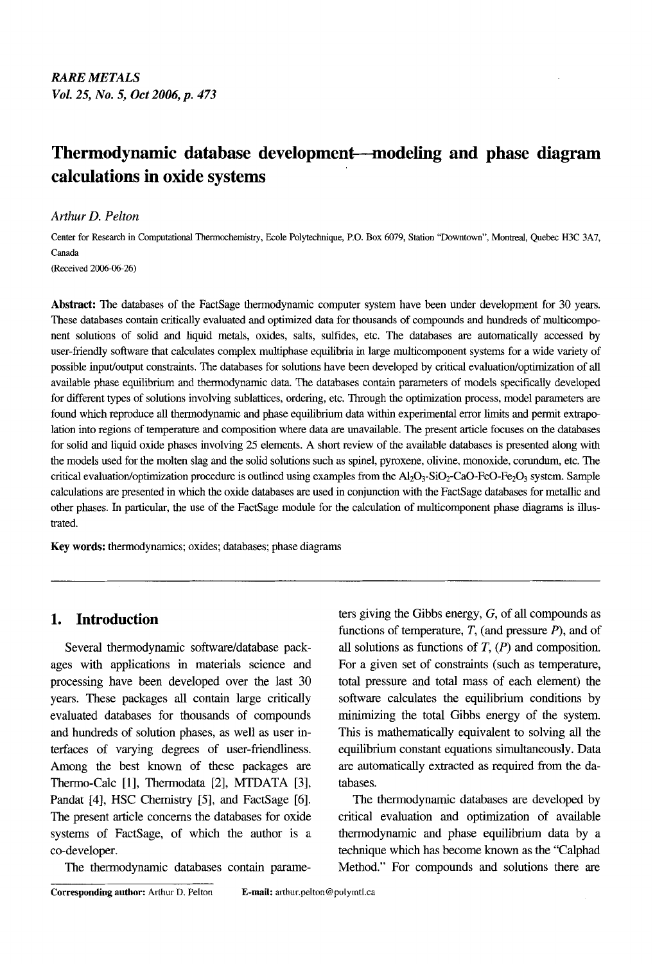# **Thermodynamic database development--modeling and phase diagram calculations in oxide systems**

### *Arthur D. Pelton*

Center for Research in Computational Thermochemistry, Ecole Polytechnique, P.O. Box 6079, Station "Downtown", Montreal, Quebec H3C 3A7, Canada

(Received 2006-06-26)

**Abstract:** The databases of the FactSage thermodynamic computer system have been under development for 30 years. These databases contain critically evaluated and optimized data for thousands of compounds and hundreds of multicomponent solutions of solid and liquid metals, oxides, salts, sulfides, etc. The databases are automatically accessed by user-friendly software that calculates complex multiphase equilibria in large multicomponent systems for a wide variety of possible input/output constraints. The databases for solutions have been developed by critical evaluation/optimization of all available phase equilibrium and thermodynamic data. The databases contain parameters of models specifically developed for different types of solutions involving sublattices, ordering, etc. Through the optimization process, model parameters are found which reproduce all thermodynamic and phase equilibrium data within experimental error limits and permit extrapolation into regions of temperature and composition where data are unavailable. The present article focuses on the databases for solid and liquid oxide phases involving 25 elements. **A** short review of the available databases is presented along with the models used for the molten slag and the solid solutions such as spinel, pyroxene, olivine, monoxide, corundum, etc. The critical evaluation/optimization procedure is outlined using examples from the Al<sub>2</sub>O<sub>3</sub>-SiO<sub>2</sub>-CaO-FeO-Fe<sub>2</sub>O<sub>3</sub> system. Sample calculations are presented in which the oxide databases are used in conjunction with the FactSage databases for metallic and other phases. In particular, the use of the FactSage module for the calculation of multicomponent phase diagrams is illustrated.

**Key words:** thermodynamics; oxides; databases; phase diagrams

# **1. Introduction**

Several thermodynamic software/database packages with applications in materials science and processing have been developed over the last **30**  years. These packages all contain large critically evaluated databases for thousands of compounds and hundreds of solution phases, **as** well **as** user interfaces of varying degrees of user-friendliness. Among the best known of these packages are Thermo-Calc [l], Thermodata **[2],** MTDATA **[3],**  Pandat **[4],** HSC Chemistry *[5],* and FactSage [6]. The present article concerns the databases for oxide systems of FactSage, of which the author is a co-developer.

The thermodynamic databases contain parame-

all solutions as functions of *T, (P)* and composition. For a given set of constraints (such as temperature, total pressure and total mass of each element) the software calculates the equilibrium conditions by minimizing the total Gibbs energy of the system. This is mathematically equivalent to solving all the equilibrium constant equations simultaneously. Data are automatically extracted **as** required from the databases. The thermodynamic databases are developed by

ters giving the Gibbs energy, **G,** of all compounds as functions of temperature, *T,* (and pressure *P),* and of

critical evaluation and optimization of available thermodynamic and phase equilibrium data by a technique which has become known as the "Calphad Method." For compounds and solutions there are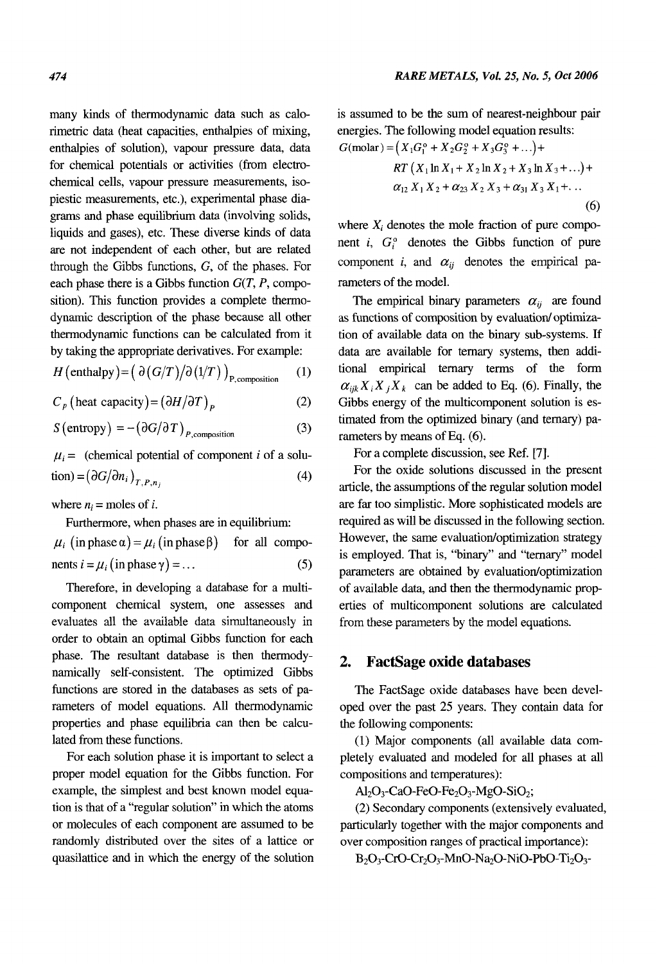many kinds of thermodynamic data such as calorimetric data (heat capacities, enthalpies of mixing, enthalpies of solution), vapour pressure data, data for chemical potentials or activities (from electrochemical cells, vapour pressure measurements, isopiestic measurements, etc.), experimental phase diagrams and phase equilibrium data (involving solids, liquids and gases), etc. These diverse kinds of data are not independent of each other, but are related through the Gibbs functions, *G,* of the phases. For each phase there is a Gibbs function *G(T, P,* composition). This function provides a complete thermodynamic description of the phase because all other thermodynamic functions can be calculated from it by taking the appropriate derivatives. For example:

$$
H\left(\text{enthalpy}\right) = \left(\frac{\partial (G/T)}{\partial (1/T)}\right)_{P,\text{composition}} \qquad (1)
$$

*(2)*   $C_p$  (heat capacity) =  $\left(\frac{\partial H}{\partial T}\right)_P$ 

(3)  $S\left(\text{entropy}\right) = -\left(\frac{\partial G}{\partial T}\right)_{P,\text{composition}}$ 

 $\mu_i$  = (chemical potential of component *i* of a solution) =  $(\partial G/\partial n_i)_{T,p_n}$  (4)

where  $n_i$  = moles of *i*.

Furthermore, when phases are in equilibrium:

 $\mu_i$  (in phase  $\alpha$ ) =  $\mu_i$  (in phase  $\beta$ ) for all compo- *(5)*  nents  $i = \mu_i$  (in phase  $\gamma$ ) = ...

Therefore, in developing a database for a multicomponent chemical system, one assesses and evaluates all the available data simultaneously in order to obtain **an** optimal Gibbs function for each phase. The resultant database is then thermodynamically self-consistent. The optimized Gibbs functions are stored in the databases as sets of parameters of model equations. All thermodynamic properties and phase equilibria can then be calculated from these functions.

For each solution phase it is important to select a proper model equation for the Gibbs function. For example, the simplest and best known model equation is that of a "regular solution" in which the atoms or molecules of each component are assumed to be randomly distributed over the sites of a lattice or quasilattice and in which the energy of the solution is assumed to be the sum of nearest-neighbour pair energies. The following model equation results:  $G(molar) = (X_1G_1^o + X_2G_2^o + X_3G_3^o + \ldots) +$ 

$$
RT (X_1 \ln X_1 + X_2 \ln X_2 + X_3 \ln X_3 + ...) +
$$
  
\n
$$
\alpha_{12} X_1 X_2 + \alpha_{23} X_2 X_3 + \alpha_{31} X_3 X_1 + ...
$$
  
\n(6)

where  $X_i$  denotes the mole fraction of pure component *i*,  $G_i^o$  denotes the Gibbs function of pure component *i*, and  $\alpha_{ij}$  denotes the empirical parameters of the model.

The empirical binary parameters  $\alpha_{ii}$  are found as functions of composition by evaluation/ optimization of available data on the binary sub-systems. If data are available for ternary systems, then additional empirical ternary terms of the form  $\alpha_{ijk} X_i X_j X_k$  can be added to Eq. (6). Finally, the Gibbs energy of the multicomponent solution is estimated from the optimized binary (and ternary) parameters by means of **Eq.** (6).

For a complete discussion, see Ref. *[7].* 

For the oxide solutions discussed in the present article, the assumptions of the regular solution model are far too simplistic. More sophisticated models are required as will be discussed in the following section. However, the same evaluation/optimization strategy is employed. That is, "binary" and "ternary" model parameters are obtained by evaluation/optimization of available data, and then the thermodynamic properties of multicomponent solutions are calculated from these parameters by the model equations.

# **2. FactSage oxide databases**

The FactSage oxide databases have been developed over the past 25 years. They contain data for the following components:

(1) Major components (all available data completely evaluated and modeled for all phases at all compositions and temperatures):

 $Al_2O_3$ -CaO-FeO-Fe $_2O_3$ -MgO-SiO<sub>2</sub>;

(2) Secondary components (extensively evaluated, particularly together with the major components and over composition ranges of practical importance):

 $B_2O_3$ -CrO-Cr<sub>2</sub>O<sub>3</sub>-MnO-Na<sub>2</sub>O-NiO-PbO-Ti<sub>2</sub>O<sub>3</sub>-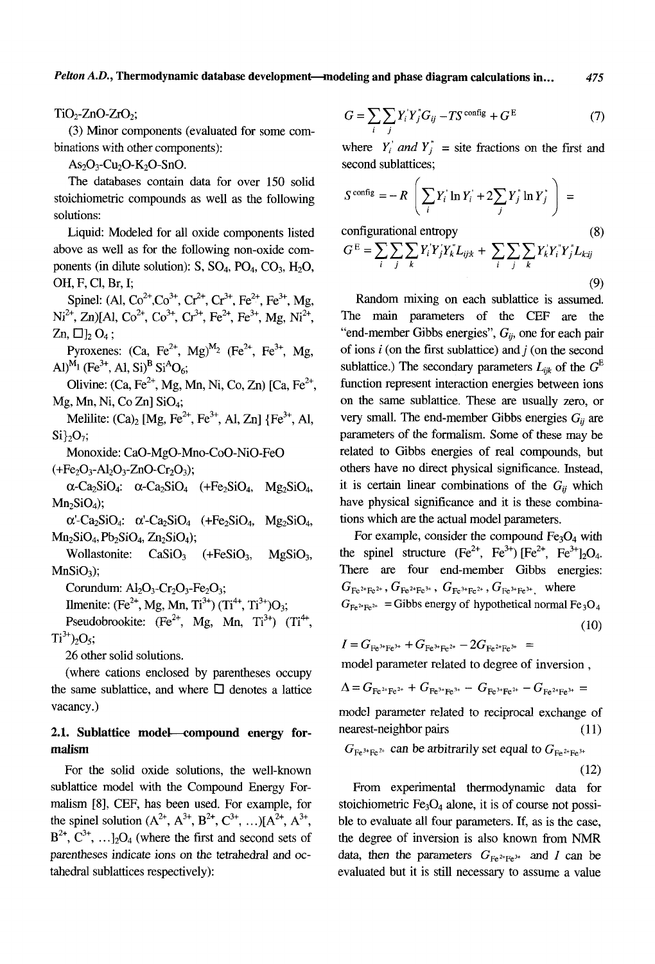*Pelton A.D.,* **Thermodynamic database development-modeling and phase diagram calculations in..** . *<sup>475</sup>*

 $TiO<sub>2</sub>$ -ZnO-ZrO<sub>2</sub>;

binations with other components): **(3)** Minor components (evaluated for some com-

 $As_2O_3$ -Cu<sub>2</sub>O-K<sub>2</sub>O-SnO.

The databases contain data for over 150 solid stoichiometric compounds as well as the following solutions:

Liquid: Modeled for all oxide components listed above as well as for the following non-oxide components (in dilute solution):  $S$ ,  $SO_4$ ,  $PO_4$ ,  $CO_3$ ,  $H_2O$ , OH, F, C1, Br, I;

Spinel: (Al,  $Co^{2+}$ ,  $Co^{3+}$ ,  $Cr^{2+}$ ,  $Cr^{3+}$ ,  $Fe^{2+}$ ,  $Fe^{3+}$ , Mg,  $Ni^{2+}$ , Zn)[Al, Co<sup>2+</sup>, Co<sup>3+</sup>, Cr<sup>3+</sup>, Fe<sup>2+</sup>, Fe<sup>3+</sup>, Mg, Ni<sup>2+</sup>,  $Zn$ ,  $\Box$ ],  $O_4$ :

Pyroxenes:  $(Ca, Fe^{2+}, Mg)^{M_2}$  (Fe<sup>2+</sup>, Fe<sup>3+</sup>, Mg, Al)<sup>M<sub>1</sub></sup> (Fe<sup>3+</sup>, Al, Si)<sup>B</sup> Si<sup>A</sup>O<sub>6</sub>;

Olivine: (Ca, Fe<sup>2+</sup>, Mg, Mn, Ni, Co, Zn) [Ca, Fe<sup>2+</sup>, Mg, Mn, Ni, Co Zn] SiO<sub>4</sub>;

Melilite:  $(Ca)_{2}$  [Mg, Fe<sup>2+</sup>, Fe<sup>3+</sup>, Al, Zn] {Fe<sup>3+</sup>, Al,  $Si\}{}_{2}O_{7};$ 

Monoxide: Ca0-Mg0-Mno-Coo-Ni0-FeO  $(+Fe<sub>2</sub>O<sub>3</sub>-Al<sub>2</sub>O<sub>3</sub>-ZnO-Cr<sub>2</sub>O<sub>3</sub>)$ ;

 $\alpha$ -Ca<sub>2</sub>SiO<sub>4</sub>:  $\alpha$ -Ca<sub>2</sub>SiO<sub>4</sub> (+Fe<sub>2</sub>SiO<sub>4</sub>, Mg<sub>2</sub>SiO<sub>4</sub>,  $Mn<sub>2</sub>SiO<sub>4</sub>$ ;

 $\alpha'$ -Ca<sub>2</sub>SiO<sub>4</sub>:  $\alpha'$ -Ca<sub>2</sub>SiO<sub>4</sub> (+Fe<sub>2</sub>SiO<sub>4</sub>, Mg<sub>2</sub>SiO<sub>4</sub>,  $Mn_2SiO_4$ ,  $Pb_2SiO_4$ ,  $Zn_2SiO_4$ );

Wollastonite:  $CaSiO<sub>3</sub>$  (+FeSiO<sub>3</sub>, MgSiO<sub>3</sub>,  $MnSiO<sub>3</sub>$ ;

Corundum:  $Al_2O_3$ - $Cr_2O_3$ - $Fe_2O_3$ ;

Ilmenite: (Fe<sup>2+</sup>, Mg, Mn, Ti<sup>3+</sup>) (Ti<sup>4+</sup>, Ti<sup>3+</sup>)O<sub>3</sub>;

Pseudobrookite:  $(Fe^{2+}, Mg, Mn, Ti^{3+})$   $(Ti^{4+},$  $Ti^{3+}$ )<sub>2</sub>O<sub>5</sub>;

26 other solid solutions.

(where cations enclosed by parentheses occupy the same sublattice, and where  $\Box$  denotes a lattice vacancy.)

# **2.1. Sublattice model-compound energy formalism**

For the solid oxide solutions, the well-known sublattice model with the Compound Energy Formalism [8], CEF, has been used. For example, for the spinel solution  $(A^{2+}, A^{3+}, B^{2+}, C^{3+}, ...) [A^{2+}, A^{3+},]$  $B^{2+}$ ,  $C^{3+}$ , ...]<sub>2</sub>O<sub>4</sub> (where the first and second sets of parentheses indicate ions on the tetrahedral and *oc*tahedral sublattices respectively):

$$
G = \sum_{i} \sum_{j} Y_{i} Y_{j} G_{ij} - T S^{\text{config}} + G^{E}
$$
 (7)

where  $Y_i'$  and  $Y_i''$  = site fractions on the first and second sublattices;

$$
S^{\text{config}} = -R \left( \sum_i Y_i' \ln Y_i' + 2 \sum_j Y_j' \ln Y_j' \right) =
$$

configurational entropy **(8)** 

$$
G^{E} = \sum_{i} \sum_{j} \sum_{k} Y_{i}^{T} Y_{j}^{T} Y_{k}^{T} L_{ijk} + \sum_{i} \sum_{j} \sum_{k} Y_{k}^{T} Y_{j}^{T} Y_{j}^{T} L_{kij}
$$
\n(9)

Random mixing on each sublattice is assumed. The main parameters of the CEF are the "end-member Gibbs energies",  $G_{ii}$ , one for each pair of ions  $i$  (on the first sublattice) and  $j$  (on the second sublattice.) The secondary parameters  $L_{ijk}$  of the  $G^E$ function represent interaction energies between ions on the same sublattice. These are usually zero, or very small. The end-member Gibbs energies  $G_{ii}$  are parameters of the formalism. Some of these may be related to Gibbs energies of real compounds, but others have no direct physical significance. Instead, it is certain linear combinations of the  $G_{ii}$  which have physical significance and it is these combinations which are the actual model parameters.

For example, consider the compound  $Fe<sub>3</sub>O<sub>4</sub>$  with the spinel structure  $(Fe^{2+}, Fe^{3+}) [Fe^{2+}, Fe^{3+}]_2O_4$ . There are four end-member Gibbs energies:  $G_{\text{Fe}^{2*}\text{Fe}^{2*}}$  = Gibbs energy of hypothetical normal  $\text{Fe}_3\text{O}_4$  $G_{Fe^{2+}Fe^{2+}}$ ,  $G_{Fe^{2+}Fe^{3+}}$ ,  $G_{Fe^{3+}Fe^{2+}}$ ,  $G_{Fe^{3+}Fe^{3+}}$ , where (10)

$$
I = G_{\text{Fe}^{3+}\text{Fe}^{3+}} + G_{\text{Fe}^{3+}\text{Fe}^{2+}} - 2G_{\text{Fe}^{2+}\text{Fe}^{3+}} =
$$

model parameter related to degree of inversion ,

$$
\Delta = G_{\rm Fe^{2+}Fe^{2+}} + G_{\rm Fe^{3+}Fe^{3+}} - G_{\rm Fe^{3+}Fe^{2+}} - G_{\rm Fe^{2+}Fe^{3+}} =
$$

model parameter related to reciprocal exchange of nearest-neighbor pairs (11)

$$
G_{\text{Fe}^{3*}\text{Fe}^{2*}}
$$
 can be arbitrarily set equal to  $G_{\text{Fe}^{2*}\text{Fe}^{3*}}$  (12)

From experimental thermodynamic data for stoichiometric  $Fe<sub>3</sub>O<sub>4</sub>$  alone, it is of course not possible to evaluate all four parameters. If, as is the case, the degree of inversion is also known from NMR data, then the parameters  $G_{Fe^{2+}Fe^{3+}}$  and *I* can be evaluated but it is still necessary to assume a value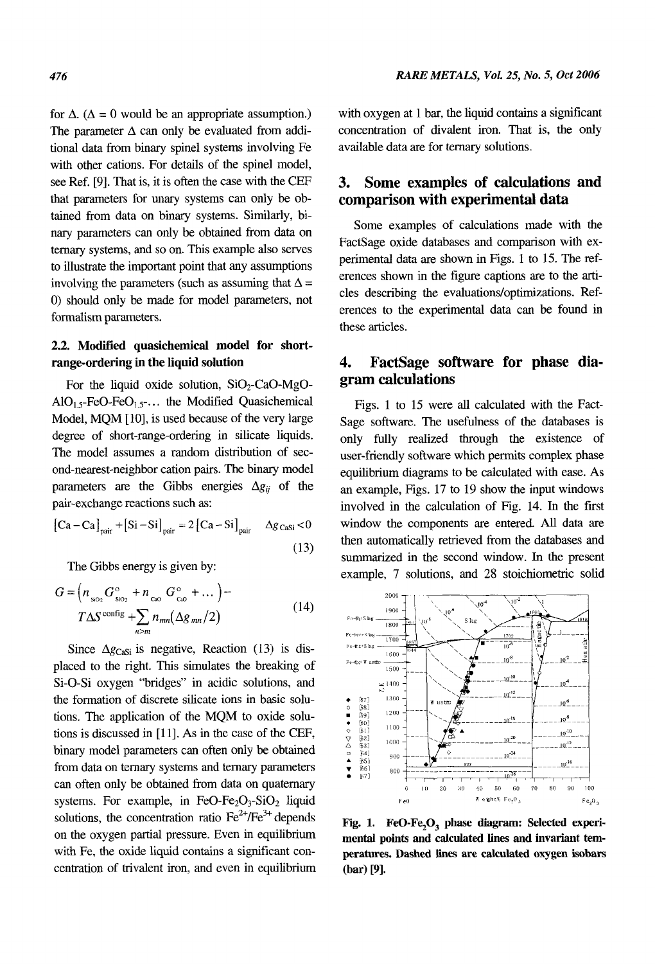for  $\Delta$ . ( $\Delta = 0$  would be an appropriate assumption.) The parameter  $\Delta$  can only be evaluated from additional data from binary spinel systems involving Fe with other cations. For details of the spinel model, see Ref. [9]. That is, it is often the case with the CEF that parameters for unary systems can only be obtained from data on binary systems. Similarly, **bi**nary parameters can only be obtained from data on ternary systems, and so on. This example also serves to illustrate the important point that any assumptions involving the parameters (such as assuming that  $\Delta =$ 0) should only be made for model parameters, not formalism parameters.

# **2.2. Modified quasichemical model for shortrange-ordering in the liquid solution**

For the liquid oxide solution,  $SiO<sub>2</sub>-CaO-MgO AIO<sub>15</sub>$ -FeO-FeO<sub>15</sub> $\ldots$  the Modified Quasichemical Model, MQM [10], is used because of the very large degree of short-range-ordering in silicate liquids. The model assumes a random distribution of second-nearest-neighbor cation pairs. The binary model parameters are the Gibbs energies  $\Delta g_{ii}$  of the pair-exchange reactions such as:

$$
\begin{bmatrix}\n\text{Ca} - \text{Ca}\n\end{bmatrix}_{\text{pair}} + \begin{bmatrix}\n\text{Si} - \text{Si}\n\end{bmatrix}_{\text{pair}} = 2 \begin{bmatrix}\n\text{Ca} - \text{Si}\n\end{bmatrix}_{\text{pair}} \quad \Delta g_{\text{Casi}} < 0
$$
\n(13)

The Gibbs energy is given by:

$$
G = \left(n_{\text{so}_2} G_{\text{so}_2}^{\text{o}} + n_{\text{co}} G_{\text{co}}^{\text{o}} + \dots\right) -
$$
  

$$
T\Delta S^{\text{config}} + \sum_{n>m} n_{mn} (\Delta g_{mn}/2)
$$
 (14)

Since  $\Delta g_{\text{Casi}}$  is negative, Reaction (13) is displaced to the right. This simulates the breaking of Si-0-Si oxygen "bridges" in acidic solutions, and the formation of discrete silicate ions in basic solutions. The application of the MQM to oxide solutions is discussed in  $[11]$ . As in the case of the CEF, binary model parameters can often only be obtained from data on ternary systems and ternary parameters can often only be obtained from data on quaternary systems. For example, in FeO-Fe<sub>2</sub>O<sub>3</sub>-SiO<sub>2</sub> liquid solutions, the concentration ratio  $\text{Fe}^{2+}/\text{Fe}^{3+}$  depends on the oxygen partial pressure. Even in equilibrium with Fe, the oxide liquid contains a significant concentration of trivalent iron, and even in equilibrium with oxygen at 1 bar, the liquid contains a significant concentration of divalent iron. That is, the only available data are for ternary solutions.

# **3. Some examples of calculations and comparison with experimental data**

Some examples of calculations made with the FactSage oxide databases and comparison with experimental data are shown in Figs. 1 to 15. The references shown in the figure captions are to the articles describing the evaluations/optimizations. References to the experimental data can be found in these articles.

### **4. gram calculations FactSage software for phase dia-**

Figs. 1 to 15 were all calculated with the Fact-Sage software. The usefulness of the databases is only fully realized through the existence of user-friendly software which permits complex phase equilibrium diagrams to be calculated with ease. As an example, Figs. 17 to 19 show the input windows involved in the calculation of Fig. 14. In the first window the components are entered. All data are then automatically retrieved from the databases and summarized in the second window. In the present example, 7 solutions, and **28** stoichiometric solid



**Fig. 1. FeO-Fe,O, phase diagram: Selected experimental points and calculated lines and invariant temperatures. Dashed lines are calculated oxygen isobars (bar) PI.**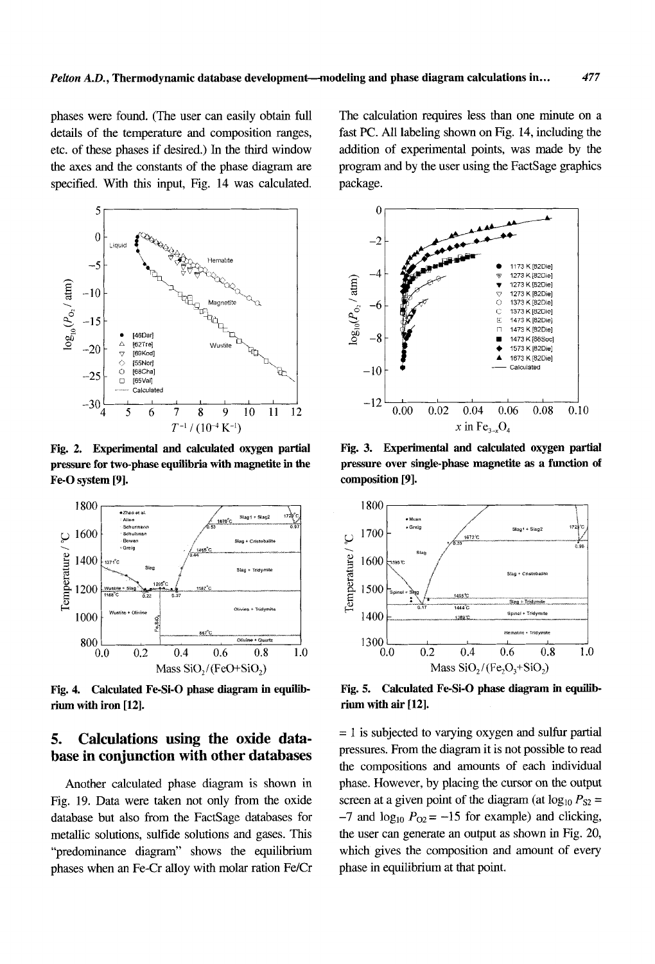phases were found. (The user can easily obtain full details of the temperature and composition ranges, etc. of these phases if desired.) In the third window the axes and the constants of the phase diagram are specified. With this input, Fig. 14 was calculated.



Fig. 2. Experimental and calculated oxygen partial pressure for two-phase equilibria with magnetite in the Fe-O system [9].



Fig. 4. Calculated Fe-Si-O phase diagram in equilibrium with iron [12].

#### 5. Calculations using the oxide database in conjunction with other databases

Another calculated phase diagram is shown in Fig. 19. Data were taken not only from the oxide database but also from the FactSage databases for metallic solutions, sulfide solutions and gases. This "predominance diagram" shows the equilibrium phases when an Fe-Cr alloy with molar ration Fe/Cr

The calculation requires less than one minute on a fast PC. All labeling shown on Fig. 14, including the addition of experimental points, was made by the program and by the user using the FactSage graphics package.

477



Fig. 3. Experimental and calculated oxygen partial pressure over single-phase magnetite as a function of composition [9].



Fig. 5. Calculated Fe-Si-O phase diagram in equilibrium with air [12].

 $= 1$  is subjected to varying oxygen and sulfur partial pressures. From the diagram it is not possible to read the compositions and amounts of each individual phase. However, by placing the cursor on the output screen at a given point of the diagram (at  $log_{10} P_{S2} =$  $-7$  and  $\log_{10} P_{O2} = -15$  for example) and clicking, the user can generate an output as shown in Fig. 20, which gives the composition and amount of every phase in equilibrium at that point.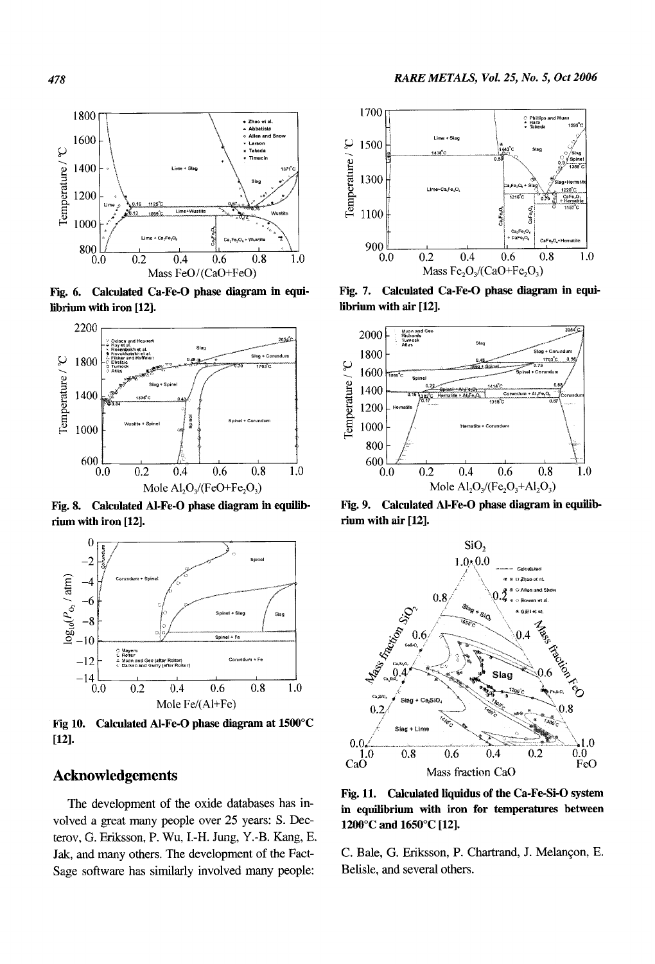

Fig. 6. Calculated Ca-Fe-0 phase diagram **in** equilibrium with iron [12].



Fig. 8. Calculated AI-Fe-0 phase diagram in equilibrium with iron [12].



Fig 10. Calculated AI-Fe-0 phase diagram at 1500°C  $[12]$ .

# **Acknowledgements**

The development of the oxide databases has involved a great many people over 25 years: **S.** Decterov, G. Eriksson, P. Wu, 1.-H. Jung, Y.-B. Kang, E. **Jak,** and many others. The development of the Fact-Sage software has similarly involved many people:



Fig. **7.** Calculated Ca-Fe-0 phase diagram in equilibrium with air [12].



Fig. 9. Calculated Al-Fe-0 phase diagram in equilibrium with air [12].



Fig. 11. Calculated liquidus of the Ca-Fe-Si-0 system in equilibrium with iron for temperatures between 1200°C and 1650°C [12].

C. Bale, G. Eriksson, P. Chartrand, J. Melangon, E. Belisle, and several others.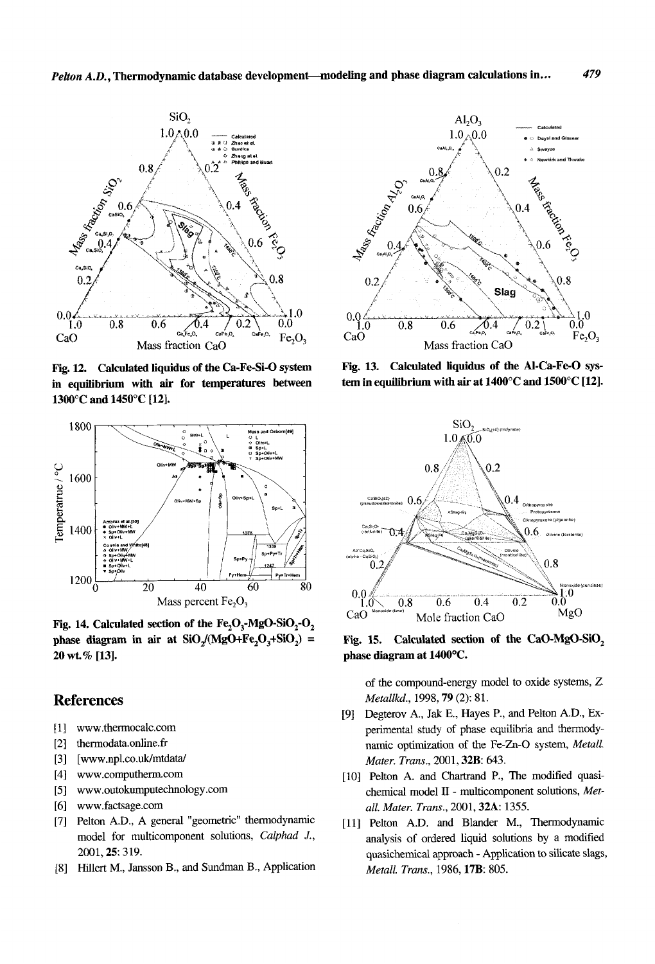

**Fig.** 12. Calculated liquidus of the Ca-Fe-Si-0 system in equilibrium with **air** for temperatures between 1300°C and 1450°C [12].



Fig. 14. Calculated section of the  $Fe<sub>2</sub>O<sub>3</sub>$ -MgO-SiO<sub>2</sub>-O<sub>2</sub> phase diagram in air at  $SiO/(MgO+Fe<sub>2</sub>O<sub>3</sub>+SiO<sub>2</sub>)$  = 20 **wt.%** [13].

# **References**

- www.thermocalc.com  $[1]$
- $\lceil 2 \rceil$ thermodata.online. fr
- $[3]$ [www.npl.co.uk/mtdata/
- [4] www.computherm.com
- [5] www.outokumputechnology.com
- [6] www.factsage.com
- [7] Pelton A.D., A general "geometric" thermodynamic model for multicomponent solutions, *Calphad J.,*  2001,25: 319.
- Hillert M., Jansson B., and Sundman B., Application



Fig. 13. Calculated **liquidus** of the Al-Ca-Fe-0 system in equilibrium with air at 1400°C and 1500°C [12].



Fig. 15. phase diagram at 1400°C. Calculated section of the CaO-MgO-SiO,

of the compound-energy model to oxide systems, *2 Metallkd.,* 1998,79 *(2):* 81.

- Degterov A., Jak **E.,** Hayes P., and Pelton **A.D., Ex**perimental study of phase equilibria and thermodynamic optimization of the Fe-Zn-0 system, *Metall. Muter. Trans.,* 2001,32B: *643.*
- [10] Pelton A. and Chartrand P., The modified quasichemical model 11 - multicomponent solutions, *Metall. Muter. Trans.,* 2001,32A: 1355.
- [11] Pelton A.D. and Blander M., Thermodynamic analysis of ordered liquid solutions by a modified quasichemical approach - Application to silicate slags, *Metall. Trans.,* 1986,17B: *805.*